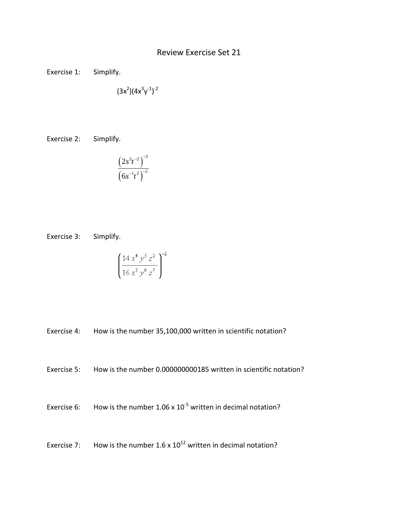## Review Exercise Set 21

Exercise 1: Simplify.

$$
(3x^2)(4x^3y^{\text{-}1})^{\text{-}2}
$$

Exercise 2: Simplify.

$$
\frac{\left(2s^3t^{-2}\right)^{-3}}{\left(6s^{-1}t^2\right)^{-2}}
$$

Exercise 3: Simplify.

$$
\left(\frac{14 x^4 y^5 z^2}{16 x^3 y^9 z^7}\right)^{-2}
$$

Exercise 4: How is the number 35,100,000 written in scientific notation?

Exercise 5: How is the number 0.000000000185 written in scientific notation?

Exercise 6: How is the number  $1.06 \times 10^{-5}$  written in decimal notation?

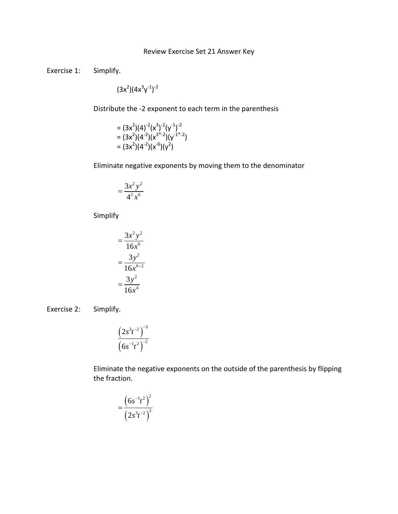## Review Exercise Set 21 Answer Key

Exercise 1: Simplify.

 $(3x^2)(4x^3y^{-1})^{-2}$ 

Distribute the -2 exponent to each term in the parenthesis

$$
= (3x2)(4)-2(x3)-2(y-1)-2= (3x2)(4-2)(x3*-2)(y-1*-2)= (3x2)(4-2)(x-6)(y2)
$$

Eliminate negative exponents by moving them to the denominator

$$
=\frac{3x^2y^2}{4^2x^6}
$$

Simplify

$$
= \frac{3x^2y^2}{16x^6}
$$

$$
= \frac{3y^2}{16x^{6-2}}
$$

$$
= \frac{3y^2}{16x^4}
$$

Exercise 2: Simplify.

$$
\frac{\left(2s^3t^{-2}\right)^{-3}}{\left(6s^{-1}t^2\right)^{-2}}
$$

Eliminate the negative exponents on the outside of the parenthesis by flipping the fraction.

$$
=\frac{\left(6s^{-1}t^{2}\right)^{2}}{\left(2s^{3}t^{-2}\right)^{3}}
$$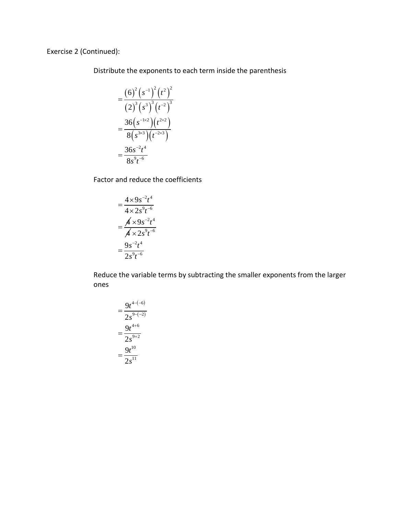Exercise 2 (Continued):

Distribute the exponents to each term inside the parenthesis

$$
= \frac{(6)^2 (s^{-1})^2 (t^2)^2}{(2)^3 (s^3)^3 (t^{-2})^3}
$$

$$
= \frac{36 (s^{-1 \times 2}) (t^{2 \times 2})}{8 (s^{3 \times 3}) (t^{-2 \times 3})}
$$

$$
= \frac{36 s^{-2} t^4}{8 s^9 t^{-6}}
$$

Factor and reduce the coefficients

$$
= \frac{4 \times 9s^{-2}t^4}{4 \times 2s^9t^{-6}}
$$

$$
= \frac{A \times 9s^{-2}t^4}{A \times 2s^9t^{-6}}
$$

$$
= \frac{9s^{-2}t^4}{2s^9t^{-6}}
$$

Reduce the variable terms by subtracting the smaller exponents from the larger ones

$$
= \frac{9t^{4-(-6)}}{2s^{9-(-2)}} \\
 = \frac{9t^{4+6}}{2s^{9+2}} \\
 = \frac{9t^{10}}{2s^{11}}
$$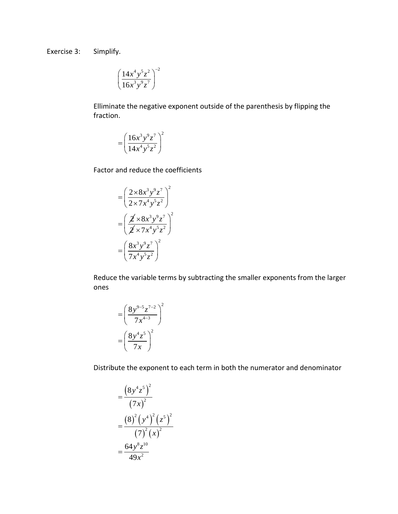Exercise 3: Simplify.

$$
\left(\frac{14x^4y^5z^2}{16x^3y^9z^7}\right)^{-2}
$$

Elliminate the negative exponent outside of the parenthesis by flipping the fraction.

$$
= \left(\frac{16x^3y^9z^7}{14x^4y^5z^2}\right)^2
$$

Factor and reduce the coefficients

$$
= \left(\frac{2 \times 8x^3 y^9 z^7}{2 \times 7x^4 y^5 z^2}\right)^2
$$

$$
= \left(\frac{\cancel{2} \times 8x^3 y^9 z^7}{\cancel{2} \times 7x^4 y^5 z^2}\right)^2
$$

$$
= \left(\frac{8x^3 y^9 z^7}{7x^4 y^5 z^2}\right)^2
$$

Reduce the variable terms by subtracting the smaller exponents from the larger ones

$$
= \left(\frac{8y^{9-5}z^{7-2}}{7x^{4-3}}\right)^2
$$

$$
= \left(\frac{8y^4z^5}{7x}\right)^2
$$

Distribute the exponent to each term in both the numerator and denominator

$$
= \frac{\left(8y^4z^5\right)^2}{\left(7x\right)^2} \\
= \frac{\left(8\right)^2\left(y^4\right)^2\left(z^5\right)^2}{\left(7\right)^2\left(x\right)^2} \\
= \frac{64y^8z^{10}}{49x^2}
$$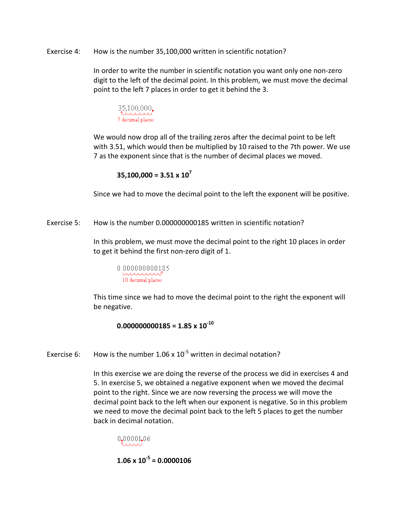Exercise 4: How is the number 35,100,000 written in scientific notation?

In order to write the number in scientific notation you want only one non-zero digit to the left of the decimal point. In this problem, we must move the decimal point to the left 7 places in order to get it behind the 3.



We would now drop all of the trailing zeros after the decimal point to be left with 3.51, which would then be multiplied by 10 raised to the 7th power. We use 7 as the exponent since that is the number of decimal places we moved.

$$
35,100,000 = 3.51 \times 10^7
$$

Since we had to move the decimal point to the left the exponent will be positive.

Exercise 5: How is the number 0.000000000185 written in scientific notation?

In this problem, we must move the decimal point to the right 10 places in order to get it behind the first non-zero digit of 1.

0.000000000185 www.www. 10 decimal places

This time since we had to move the decimal point to the right the exponent will be negative.

**0.000000000185 = 1.85 x 10-10**

Exercise 6: How is the number 1.06 x  $10^{-5}$  written in decimal notation?

In this exercise we are doing the reverse of the process we did in exercises 4 and 5. In exercise 5, we obtained a negative exponent when we moved the decimal point to the right. Since we are now reversing the process we will move the decimal point back to the left when our exponent is negative. So in this problem we need to move the decimal point back to the left 5 places to get the number back in decimal notation.

0.00001.06 . . . . . .

**1.06 x 10-5 = 0.0000106**